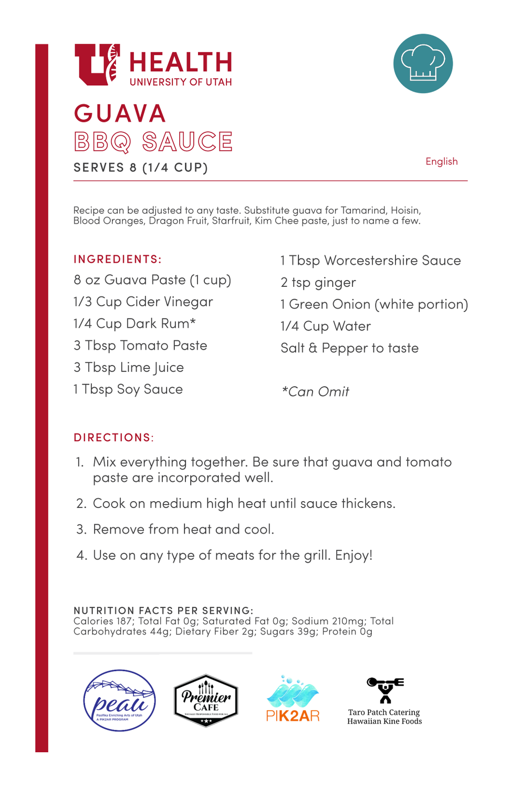



English

Recipe can be adjusted to any taste. Substitute guava for Tamarind, Hoisin, Blood Oranges, Dragon Fruit, Starfruit, Kim Chee paste, just to name a few.

### INGREDIENTS:

8 oz Guava Paste (1cup) 1/3 Cup Cider Vinegar 1/4 Cup Dark Rum\* 3 Tbsp Tomato Paste 3 Tbsp Lime Juice 1Tbsp Soy Sauce

1Tbsp Worcestershire Sauce 2 tsp ginger

1Green Onion (white portion)

1/4 Cup Water

Salt & Pepper to taste

**\*Can Omit**

### DIRECTIONS:

- 1. Mix everything together. Be sure that guava and tomato paste are incorporated well.
- 2. Cook on medium high heat until sauce thickens.
- 3. Remove from heat and cool.
- 4. Use on any type of meats for the grill. Enjoy!

### NUTRITION FACTS PER SERVING:

Calories 187; Total Fat 0g; Saturated Fat 0g; Sodium 210mg; Total Carbohydrates 44g; Dietary Fiber 2g; Sugars 39g; Protein 0g

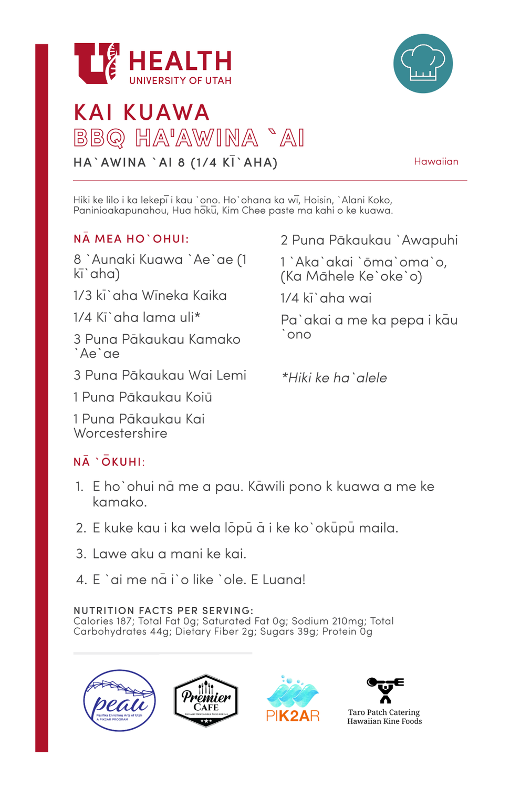

# KAI KUAWA BBQ HA'AWINA ` AI HA`AWINA `AI 8 (1/4 KĪ`AHA)

Hawaiian

Hiki ke lilo i ka lekepi i kau `ono. Ho`ohana ka wi, Hoisin, `Alani Koko, Paninioakapunahou, Hua hoku, Kim Chee paste ma kahi o ke kuawa.

# **NA MEA HO' OHUI:**

8 `Aunaki Kuawa `Ae`ae (1 ki`aha)

- 1/3 kī`aha Wīneka Kaika
- 1/4 Ki`aha lama uli\*

3 Puna Pakaukau Kamako `Ae`ae

3 Puna Pakaukau Wai Lemi

1 Puna Pākaukau Koiū

1Puna Pakaukau Kai Worcestershire

# NA ` OKUHI:

- 1. Eho`ohui nā me a pau. Kāwili pono k kuawa a me ke kamako.
- 2. E kuke kau i ka wela lõpū ā i ke ko`okūpū maila.
- 3. Lawe aku a mani ke kai.
- 4. E`ai me na i`o like `ole. E Luana!

#### NUTRITION FACTS PER SERVING:

Calories 187; Total Fat 0g; Saturated Fat 0g; Sodium 210mg; Total Carbohydrates 44g; Dietary Fiber 2g; Sugars 39g; Protein 0g



**\*Hiki ke ha`alele**

2 Puna Pakaukau `Awapuhi

1`Aka`akai `oma`oma`o, (Ka Mahele Ke`oke`o)

 $1/4$  ki`aha wai

Pa`akai a me ka pepa i kau `ono

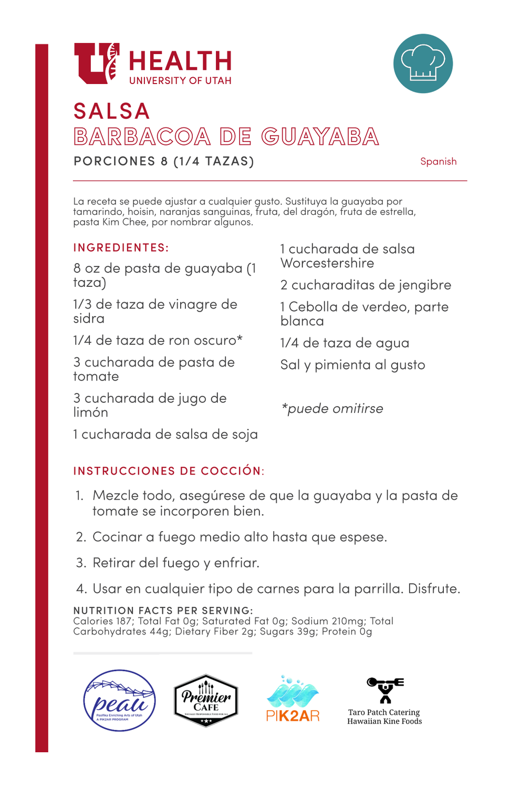



# SALSA BARBACOA DE GUAYABA PORCIONES 8 (1/4 TAZAS)

Spanish

La receta se puede ajustar a cualquier gusto. Sustituya la guayaba por tamarindo, hoisin, naranjas sanguinas, fruta, del dragón, fruta de estrella, pasta Kim Chee, por nombrar algunos.

### INGREDIENTES:

8 oz de pasta de guayaba (1 taza)

1/3 de taza de vinagre de sidra

1/4 de taza de ron oscuro\*

3 cucharada de pasta de tomate

3 cucharada de jugo de limón

1cucharada de salsa Worcestershire

2 cucharaditas de jengibre

1Cebolla de verdeo, parte blanca

1/4 de taza de agua

Sal y pimienta al gusto

**\*puede omitirse**

1cucharada de salsa de soja

### INSTRUCCIONES DE COCCIÓN:

- 1. Mezcle todo, asegúrese de que la guayaba y la pasta de tomate se incorporen bien.
- 2. Cocinar a fuego medio alto hasta que espese.
- 3. Retirar del fuego y enfriar.
- 4. Usar en cualquier tipo de carnes para la parrilla. Disfrute.

NUTRITION FACTS PER SERVING:

Calories 187; Total Fat 0g; Saturated Fat 0g; Sodium 210mg; Total Carbohydrates 44g; Dietary Fiber 2g; Sugars 39g; Protein 0g